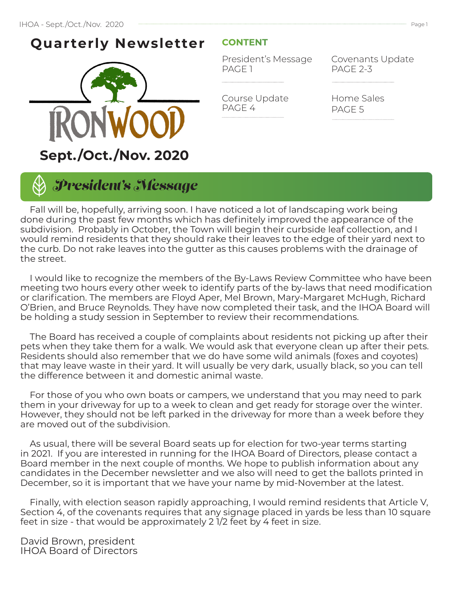## **Quarterly Newsletter**



## **CONTENT**

President's Message PAGE 1

Course Update

PAGE 4

Covenants Update PAGE 2-3

Home Sales PAGE 5



 Fall will be, hopefully, arriving soon. I have noticed a lot of landscaping work being done during the past few months which has definitely improved the appearance of the subdivision. Probably in October, the Town will begin their curbside leaf collection, and I would remind residents that they should rake their leaves to the edge of their yard next to the curb. Do not rake leaves into the gutter as this causes problems with the drainage of the street.

 I would like to recognize the members of the By-Laws Review Committee who have been meeting two hours every other week to identify parts of the by-laws that need modification or clarification. The members are Floyd Aper, Mel Brown, Mary-Margaret McHugh, Richard O'Brien, and Bruce Reynolds. They have now completed their task, and the IHOA Board will be holding a study session in September to review their recommendations.

 The Board has received a couple of complaints about residents not picking up after their pets when they take them for a walk. We would ask that everyone clean up after their pets. Residents should also remember that we do have some wild animals (foxes and coyotes) that may leave waste in their yard. It will usually be very dark, usually black, so you can tell the difference between it and domestic animal waste.

 For those of you who own boats or campers, we understand that you may need to park them in your driveway for up to a week to clean and get ready for storage over the winter. However, they should not be left parked in the driveway for more than a week before they are moved out of the subdivision.

 As usual, there will be several Board seats up for election for two-year terms starting in 2021. If you are interested in running for the IHOA Board of Directors, please contact a Board member in the next couple of months. We hope to publish information about any candidates in the December newsletter and we also will need to get the ballots printed in December, so it is important that we have your name by mid-November at the latest.

 Finally, with election season rapidly approaching, I would remind residents that Article V, Section 4, of the covenants requires that any signage placed in yards be less than 10 square feet in size - that would be approximately 2 1/2 feet by 4 feet in size.

David Brown, president IHOA Board of Directors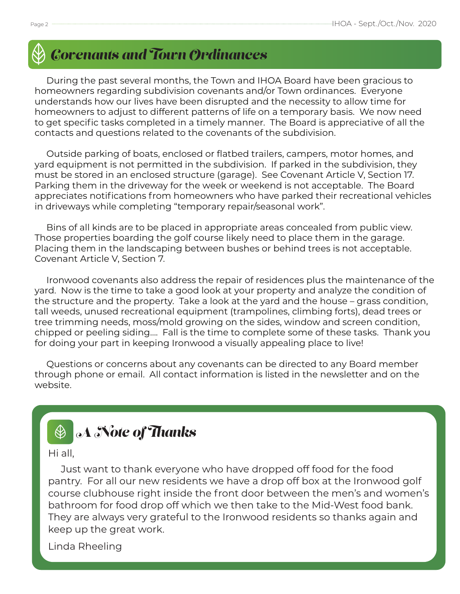

# *Covenants and Town Ordinances*

 During the past several months, the Town and IHOA Board have been gracious to homeowners regarding subdivision covenants and/or Town ordinances. Everyone understands how our lives have been disrupted and the necessity to allow time for homeowners to adjust to different patterns of life on a temporary basis. We now need to get specific tasks completed in a timely manner. The Board is appreciative of all the contacts and questions related to the covenants of the subdivision.

 Outside parking of boats, enclosed or flatbed trailers, campers, motor homes, and yard equipment is not permitted in the subdivision. If parked in the subdivision, they must be stored in an enclosed structure (garage). See Covenant Article V, Section 17. Parking them in the driveway for the week or weekend is not acceptable. The Board appreciates notifications from homeowners who have parked their recreational vehicles in driveways while completing "temporary repair/seasonal work".

 Bins of all kinds are to be placed in appropriate areas concealed from public view. Those properties boarding the golf course likely need to place them in the garage. Placing them in the landscaping between bushes or behind trees is not acceptable. Covenant Article V, Section 7.

 Ironwood covenants also address the repair of residences plus the maintenance of the yard. Now is the time to take a good look at your property and analyze the condition of the structure and the property. Take a look at the yard and the house – grass condition, tall weeds, unused recreational equipment (trampolines, climbing forts), dead trees or tree trimming needs, moss/mold growing on the sides, window and screen condition, chipped or peeling siding…. Fall is the time to complete some of these tasks. Thank you for doing your part in keeping Ironwood a visually appealing place to live!

 Questions or concerns about any covenants can be directed to any Board member through phone or email. All contact information is listed in the newsletter and on the website.

#### *A Note of Thanks*  $\bigcircledR$

Hi all,

 Just want to thank everyone who have dropped off food for the food pantry. For all our new residents we have a drop off box at the Ironwood golf course clubhouse right inside the front door between the men's and women's bathroom for food drop off which we then take to the Mid-West food bank. They are always very grateful to the Ironwood residents so thanks again and keep up the great work.

Linda Rheeling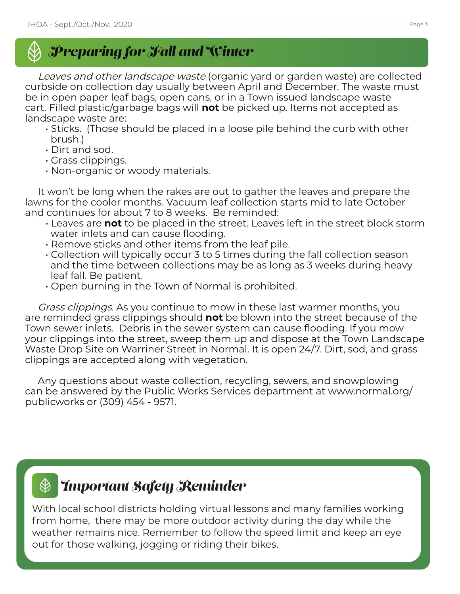

Leaves and other landscape waste (organic yard or garden waste) are collected curbside on collection day usually between April and December. The waste must be in open paper leaf bags, open cans, or in a Town issued landscape waste cart. Filled plastic/garbage bags will **not** be picked up. Items not accepted as landscape waste are:

- Sticks. (Those should be placed in a loose pile behind the curb with other brush.)
- Dirt and sod.
- Grass clippings.
- Non-organic or woody materials.

 It won't be long when the rakes are out to gather the leaves and prepare the lawns for the cooler months. Vacuum leaf collection starts mid to late October and continues for about 7 to 8 weeks. Be reminded:

- Leaves are **not** to be placed in the street. Leaves left in the street block storm water inlets and can cause flooding.
- Remove sticks and other items from the leaf pile.
- Collection will typically occur 3 to 5 times during the fall collection season and the time between collections may be as long as 3 weeks during heavy leaf fall. Be patient.
- Open burning in the Town of Normal is prohibited.

 Grass clippings. As you continue to mow in these last warmer months, you are reminded grass clippings should **not** be blown into the street because of the Town sewer inlets. Debris in the sewer system can cause flooding. If you mow your clippings into the street, sweep them up and dispose at the Town Landscape Waste Drop Site on Warriner Street in Normal. It is open 24/7. Dirt, sod, and grass clippings are accepted along with vegetation.

 Any questions about waste collection, recycling, sewers, and snowplowing can be answered by the Public Works Services department at www.normal.org/ publicworks or (309) 454 - 9571.

#### *Important Safety Reminder*  $\bigcircled{\!\!\:\!\!\! \infty}$

With local school districts holding virtual lessons and many families working from home, there may be more outdoor activity during the day while the weather remains nice. Remember to follow the speed limit and keep an eye out for those walking, jogging or riding their bikes.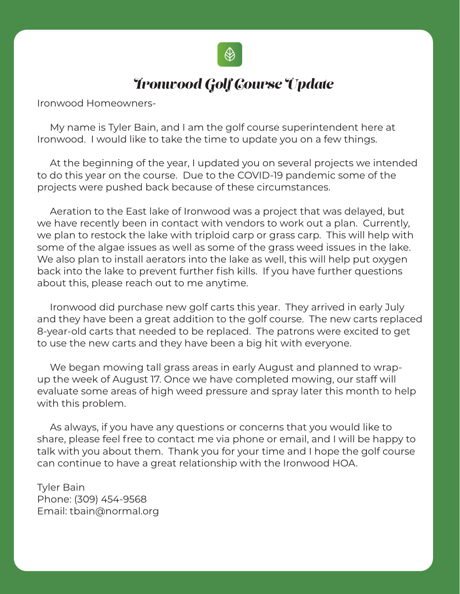

## *Ironwood Golf Course Update*

Ironwood Homeowners-

 My name is Tyler Bain, and I am the golf course superintendent here at Ironwood. I would like to take the time to update you on a few things.

 At the beginning of the year, I updated you on several projects we intended to do this year on the course. Due to the COVID-19 pandemic some of the projects were pushed back because of these circumstances.

 Aeration to the East lake of Ironwood was a project that was delayed, but we have recently been in contact with vendors to work out a plan. Currently, we plan to restock the lake with triploid carp or grass carp. This will help with some of the algae issues as well as some of the grass weed issues in the lake. We also plan to install aerators into the lake as well, this will help put oxygen back into the lake to prevent further fish kills. If you have further questions about this, please reach out to me anytime.

 Ironwood did purchase new golf carts this year. They arrived in early July and they have been a great addition to the golf course. The new carts replaced 8-year-old carts that needed to be replaced. The patrons were excited to get to use the new carts and they have been a big hit with everyone.

 We began mowing tall grass areas in early August and planned to wrapup the week of August 17. Once we have completed mowing, our staff will evaluate some areas of high weed pressure and spray later this month to help with this problem.

 As always, if you have any questions or concerns that you would like to share, please feel free to contact me via phone or email, and I will be happy to talk with you about them. Thank you for your time and I hope the golf course can continue to have a great relationship with the Ironwood HOA.

Tyler Bain Phone: (309) 454-9568 Email: tbain@normal.org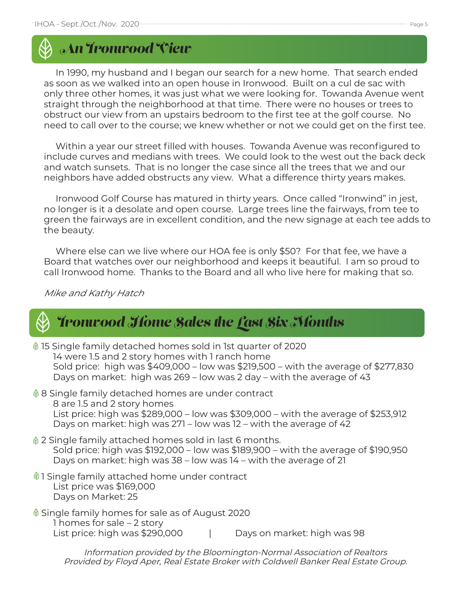# *An Ironwood View*

 In 1990, my husband and I began our search for a new home. That search ended as soon as we walked into an open house in Ironwood. Built on a cul de sac with only three other homes, it was just what we were looking for. Towanda Avenue went straight through the neighborhood at that time. There were no houses or trees to obstruct our view from an upstairs bedroom to the first tee at the golf course. No need to call over to the course; we knew whether or not we could get on the first tee.

 Within a year our street filled with houses. Towanda Avenue was reconfigured to include curves and medians with trees. We could look to the west out the back deck and watch sunsets. That is no longer the case since all the trees that we and our neighbors have added obstructs any view. What a difference thirty years makes.

 Ironwood Golf Course has matured in thirty years. Once called "Ironwind" in jest, no longer is it a desolate and open course. Large trees line the fairways, from tee to green the fairways are in excellent condition, and the new signage at each tee adds to the beauty.

 Where else can we live where our HOA fee is only \$50? For that fee, we have a Board that watches over our neighborhood and keeps it beautiful. I am so proud to call Ironwood home. Thanks to the Board and all who live here for making that so.

Mike and Kathy Hatch

## *Ironwood Home Sales the Last Six Months*

15 Single family detached homes sold in 1st quarter of 2020 14 were 1.5 and 2 story homes with 1 ranch home Sold price: high was \$409,000 – low was \$219,500 – with the average of \$277,830 Days on market: high was 269 – low was 2 day – with the average of 43

- 8 Single family detached homes are under contract 8 are 1.5 and 2 story homes List price: high was \$289,000 – low was \$309,000 – with the average of \$253,912 Days on market: high was 271 – low was 12 – with the average of 42
- 2 Single family attached homes sold in last 6 months. Sold price: high was \$192,000 – low was \$189,900 – with the average of \$190,950 Days on market: high was 38 – low was 14 – with the average of 21
- 1 Single family attached home under contract List price was \$169,000 Days on Market: 25
- Single family homes for sale as of August 2020 1 homes for sale – 2 story List price: high was \$290,000 | Days on market: high was 98

Information provided by the Bloomington-Normal Association of Realtors Provided by Floyd Aper, Real Estate Broker with Coldwell Banker Real Estate Group.